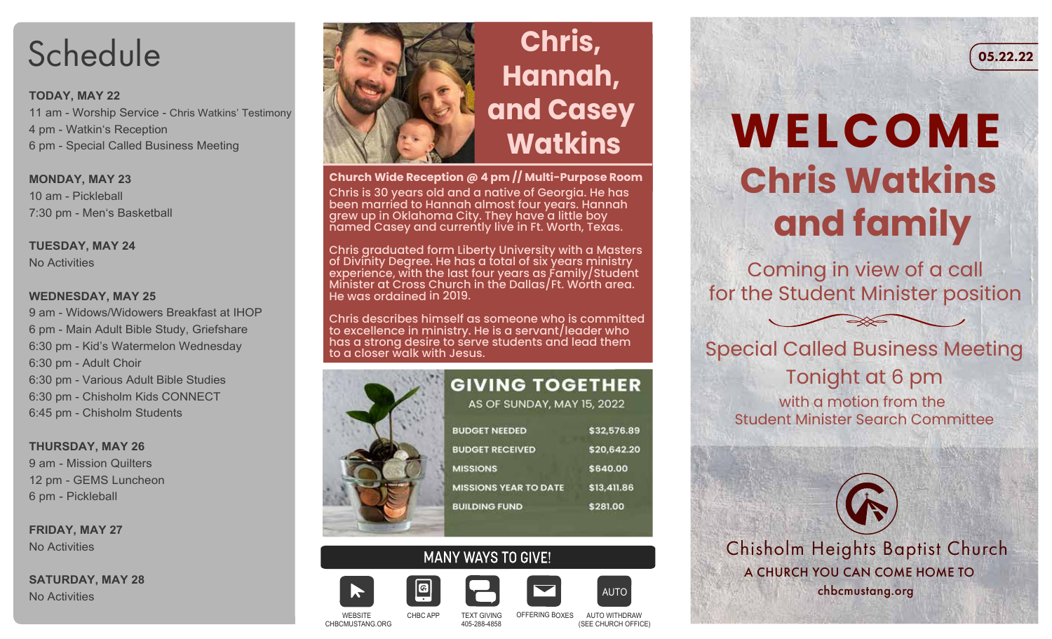# **Schedule**

### **TODAY, MAY 22**

11 am - Worship Service - Chris Watkins' Testimony 4 pm - Watkin's Reception 6 pm - Special Called Business Meeting

### **MONDAY, MAY 23** 10 am - Pickleball 7:30 pm - Men's Basketball

### **TUESDAY, MAY 24** No Activities

### **WEDNESDAY, MAY 25**

9 am - Widows/Widowers Breakfast at IHOP 6 pm - Main Adult Bible Study, Griefshare 6:30 pm - Kid's Watermelon Wednesday 6:30 pm - Adult Choir 6:30 pm - Various Adult Bible Studies 6:30 pm - Chisholm Kids CONNECT 6:45 pm - Chisholm Students

**THURSDAY, MAY 26** 9 am - Mission Quilters 12 pm - GEMS Luncheon 6 pm - Pickleball

**FRIDAY, MAY 27** No Activities

**SATURDAY, MAY 28** No Activities



## **Chris, Hannah, and Casey Watkins**

**Church Wide Reception @ 4 pm // Multi-Purpose Room** Chris is 30 years old and a native of Georgia. He has been married to Hannah almost four years. Hannah grew up in Oklahoma City. They have a little boy named Casey and currently live in Ft. Worth, Texas.

Chris graduated form Liberty University with a Masters of Divinity Degree. He has a total of six years ministry experience, with the last four years as  $\acute{\textnormal{\textsf{f}}}$  amily/Student Minister at Cross Church in the Dallas/Ft. Worth area. He was ordained in 2019.

Chris describes himself as someone who is committed to excellence in ministry. He is a servant/leader who has a strong desire to serve students and lead them to a closer walk with Jesus.



# **MANY WAYS TO GIVE!**



CHBCMUSTANG.ORG

WEBSITE





CHBC APP 405-288-4858 AUTO WITHDRAW

### (SEE CHURCH OFFICE)

**AUTC** 

# **WELCOME Chris Watkins and family**

Coming in view of a call for the Student Minister position

 $\Rightarrow \equiv$ 

Special Called Business Meeting Tonight at 6 pm with a motion from the Student Minister Search Committee

Chisholm Heights Baptist Church A CHURCH YOU CAN COME HOME TO chbcmustang.org